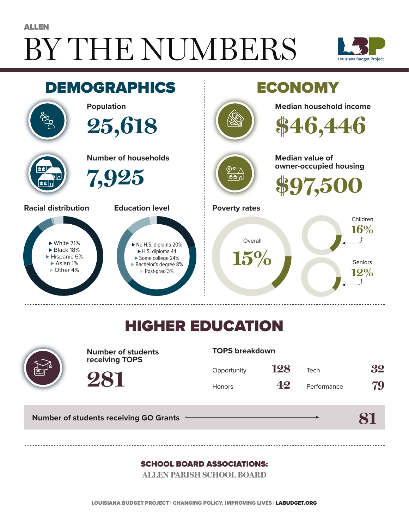# BY THE NUMBERS ALLEN





## HIGHER EDUCATION



**Number of students receiving TOPS**

#### **TOPS breakdown**

| Opportunity   | 128 | Tech        | 32 |
|---------------|-----|-------------|----|
| <b>Honors</b> | 42  | Performance | 79 |

**81**

**Number of students receiving GO Grants**

**281**

#### SCHOOL BOARD ASSOCIATIONS:

**ALLEN PARISH SCHOOL BOARD**